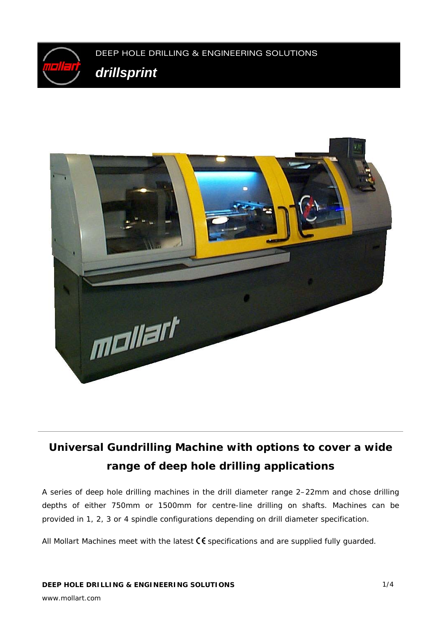



## **Universal Gundrilling Machine with options to cover a wide range of deep hole drilling applications**

A series of deep hole drilling machines in the drill diameter range 2–22mm and chose drilling depths of either 750mm or 1500mm for centre-line drilling on shafts. Machines can be provided in 1, 2, 3 or 4 spindle configurations depending on drill diameter specification.

All Mollart Machines meet with the latest  $\zeta \xi$  specifications and are supplied fully guarded.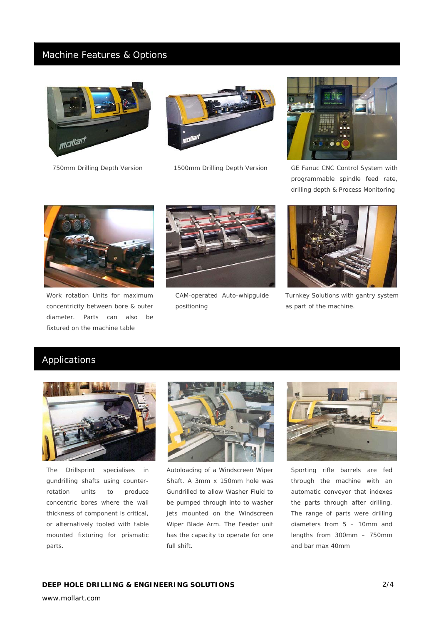### Machine Features & Options







*750mm Drilling Depth Version 1500mm Drilling Depth Version GE Fanuc CNC Control System with programmable spindle feed rate, drilling depth & Process Monitoring* 



*Work rotation Units for maximum concentricity between bore & outer diameter. Parts can also be fixtured on the machine table* 



*CAM-operated Auto-whipguide positioning* 



*Turnkey Solutions with gantry system as part of the machine.* 

## Applications



*The Drillsprint specialises in gundrilling shafts using counterrotation units to produce concentric bores where the wall thickness of component is critical, or alternatively tooled with table mounted fixturing for prismatic parts.* 



*Autoloading of a Windscreen Wiper Shaft. A 3mm x 150mm hole was Gundrilled to allow Washer Fluid to be pumped through into to washer jets mounted on the Windscreen Wiper Blade Arm. The Feeder unit has the capacity to operate for one full shift.*



*Sporting rifle barrels are fed through the machine with an automatic conveyor that indexes the parts through after drilling. The range of parts were drilling diameters from 5 – 10mm and lengths from 300mm – 750mm and bar max 40mm* 

www.mollart.com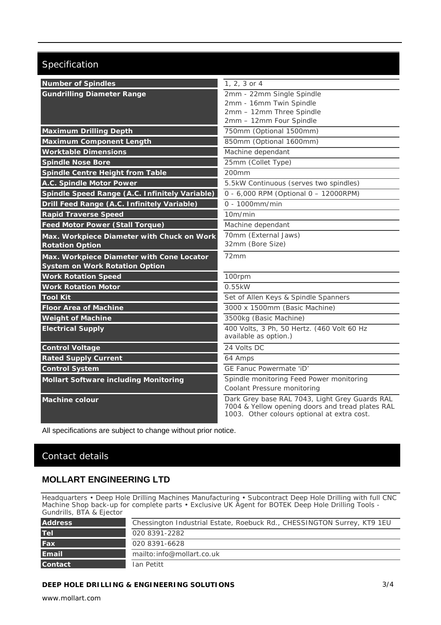## Specification

| <b>Number of Spindles</b>                      | 1, 2, 3 or 4                                                                                                                                      |
|------------------------------------------------|---------------------------------------------------------------------------------------------------------------------------------------------------|
| <b>Gundrilling Diameter Range</b>              | 2mm - 22mm Single Spindle                                                                                                                         |
|                                                | 2mm - 16mm Twin Spindle                                                                                                                           |
|                                                | 2mm - 12mm Three Spindle<br>2mm - 12mm Four Spindle                                                                                               |
| <b>Maximum Drilling Depth</b>                  | 750mm (Optional 1500mm)                                                                                                                           |
| <b>Maximum Component Length</b>                | 850mm (Optional 1600mm)                                                                                                                           |
| <b>Worktable Dimensions</b>                    | Machine dependant                                                                                                                                 |
| <b>Spindle Nose Bore</b>                       | 25mm (Collet Type)                                                                                                                                |
| Spindle Centre Height from Table               | 200mm                                                                                                                                             |
|                                                |                                                                                                                                                   |
| A.C. Spindle Motor Power                       | 5.5kW Continuous (serves two spindles)<br>0 - 6,000 RPM (Optional 0 - 12000RPM)                                                                   |
| Spindle Speed Range (A.C. Infinitely Variable) |                                                                                                                                                   |
| Drill Feed Range (A.C. Infinitely Variable)    | $0 - 1000$ mm/min                                                                                                                                 |
| <b>Rapid Traverse Speed</b>                    | 10m/min                                                                                                                                           |
| <b>Feed Motor Power (Stall Torque)</b>         | Machine dependant                                                                                                                                 |
| Max. Workpiece Diameter with Chuck on Work     | 70mm (External Jaws)                                                                                                                              |
| <b>Rotation Option</b>                         | 32mm (Bore Size)                                                                                                                                  |
| Max. Workpiece Diameter with Cone Locator      | 72mm                                                                                                                                              |
| <b>System on Work Rotation Option</b>          |                                                                                                                                                   |
| <b>Work Rotation Speed</b>                     | 100rpm                                                                                                                                            |
| <b>Work Rotation Motor</b>                     | 0.55kW                                                                                                                                            |
| <b>Tool Kit</b>                                | Set of Allen Keys & Spindle Spanners                                                                                                              |
| <b>Floor Area of Machine</b>                   | 3000 x 1500mm (Basic Machine)                                                                                                                     |
| <b>Weight of Machine</b>                       | 3500kg (Basic Machine)                                                                                                                            |
| <b>Electrical Supply</b>                       | 400 Volts, 3 Ph, 50 Hertz. (460 Volt 60 Hz<br>available as option.)                                                                               |
| <b>Control Voltage</b>                         | 24 Volts DC                                                                                                                                       |
| <b>Rated Supply Current</b>                    | 64 Amps                                                                                                                                           |
| <b>Control System</b>                          | GE Fanuc Powermate 'iD'                                                                                                                           |
| <b>Mollart Software including Monitoring</b>   | Spindle monitoring Feed Power monitoring                                                                                                          |
|                                                | Coolant Pressure monitoring                                                                                                                       |
| <b>Machine colour</b>                          | Dark Grey base RAL 7043, Light Grey Guards RAL<br>7004 & Yellow opening doors and tread plates RAL<br>1003. Other colours optional at extra cost. |

All specifications are subject to change without prior notice.

## Contact details

### **MOLLART ENGINEERING LTD**

Headquarters • Deep Hole Drilling Machines Manufacturing • Subcontract Deep Hole Drilling with full CNC Machine Shop back-up for complete parts • Exclusive UK Agent for BOTEK Deep Hole Drilling Tools - Gundrills, BTA & Ejector

| <b>Address</b> | Chessington Industrial Estate, Roebuck Rd., CHESSINGTON Surrey, KT9 1EU |
|----------------|-------------------------------------------------------------------------|
| <b>Tel</b>     | 020 8391-2282                                                           |
| Fax            | 020 8391-6628                                                           |
| Email          | mailto: info@mollart.co.uk                                              |
| <b>Contact</b> | Ian Petitt                                                              |

#### **DEEP HOLE DRILLING & ENGINEERING SOLUTIONS**